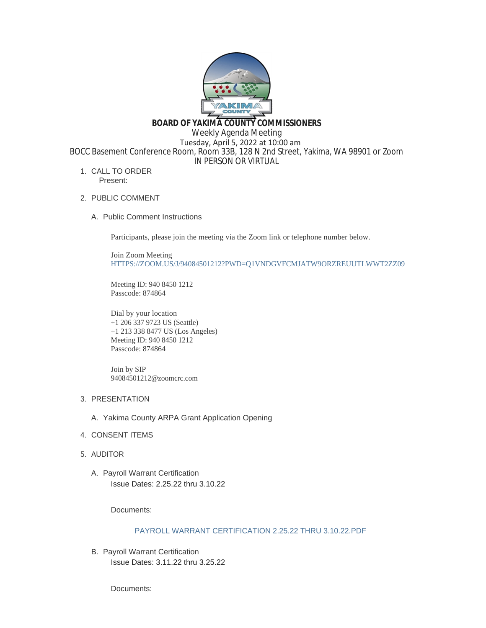

**BOARD OF YAKIMA COUNTY COMMISSIONERS**

Weekly Agenda Meeting

 Tuesday, April 5, 2022 at 10:00 am BOCC Basement Conference Room, Room 33B, 128 N 2nd Street, Yakima, WA 98901 or Zoom

IN PERSON OR VIRTUAL

- 1. CALL TO ORDER Present:
- 2. PUBLIC COMMENT
	- A. Public Comment Instructions

Participants, please join the meeting via the Zoom link or telephone number below.

Join Zoom Meeting [HTTPS://ZOOM.US/J/94084501212?PWD=Q1VNDGVFCMJATW9ORZREUUTLWWT2ZZ09](https://zoom.us/j/94084501212?pwd=Q1VNdGVFcmJaTW9ORzREUUtlWWt2Zz09)

Meeting ID: 940 8450 1212 Passcode: 874864

Dial by your location +1 206 337 9723 US (Seattle) +1 213 338 8477 US (Los Angeles) Meeting ID: 940 8450 1212 Passcode: 874864

Join by SIP 94084501212@zoomcrc.com

- 3. PRESENTATION
	- A. Yakima County ARPA Grant Application Opening
- 4. CONSENT ITEMS
- AUDITOR 5.
	- A. Payroll Warrant Certification Issue Dates: 2.25.22 thru 3.10.22

Documents:

# [PAYROLL WARRANT CERTIFICATION 2.25.22 THRU 3.10.22.PDF](https://www.yakimacounty.us/AgendaCenter/ViewFile/Item/4092?fileID=16049)

B. Payroll Warrant Certification Issue Dates: 3.11.22 thru 3.25.22

Documents: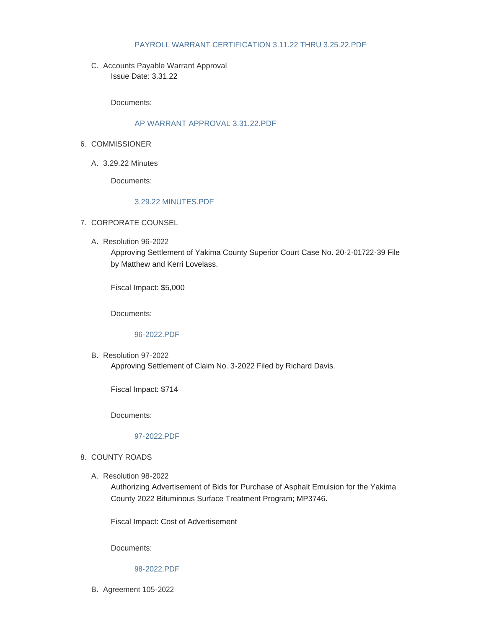## [PAYROLL WARRANT CERTIFICATION 3.11.22 THRU 3.25.22.PDF](https://www.yakimacounty.us/AgendaCenter/ViewFile/Item/4093?fileID=16050)

C. Accounts Payable Warrant Approval Issue Date: 3.31.22

Documents:

### [AP WARRANT APPROVAL 3.31.22.PDF](https://www.yakimacounty.us/AgendaCenter/ViewFile/Item/4114?fileID=16058)

- 6. COMMISSIONER
	- 3.29.22 Minutes A.

Documents:

## [3.29.22 MINUTES.PDF](https://www.yakimacounty.us/AgendaCenter/ViewFile/Item/4091?fileID=16048)

- 7. CORPORATE COUNSEL
	- Resolution 96-2022 A.

Approving Settlement of Yakima County Superior Court Case No. 20-2-01722-39 File by Matthew and Kerri Lovelass.

Fiscal Impact: \$5,000

Documents:

#### [96-2022.PDF](https://www.yakimacounty.us/AgendaCenter/ViewFile/Item/4094?fileID=16051)

B. Resolution 97-2022 Approving Settlement of Claim No. 3-2022 Filed by Richard Davis.

Fiscal Impact: \$714

Documents:

# [97-2022.PDF](https://www.yakimacounty.us/AgendaCenter/ViewFile/Item/4095?fileID=16052)

- 8. COUNTY ROADS
	- A. Resolution 98-2022

Authorizing Advertisement of Bids for Purchase of Asphalt Emulsion for the Yakima County 2022 Bituminous Surface Treatment Program; MP3746.

Fiscal Impact: Cost of Advertisement

Documents:

#### [98-2022.PDF](https://www.yakimacounty.us/AgendaCenter/ViewFile/Item/4097?fileID=16054)

B. Agreement 105-2022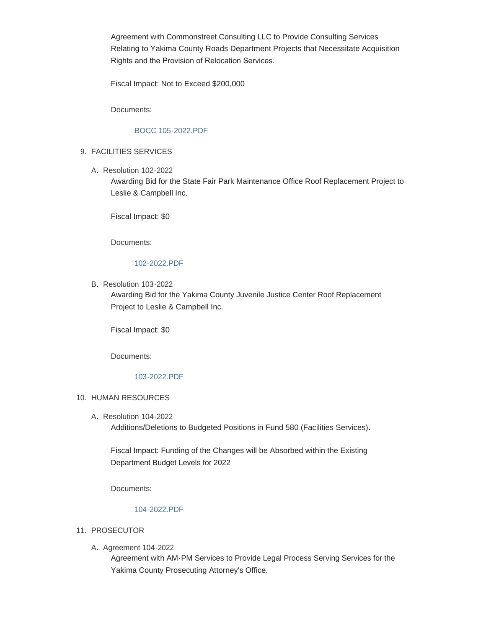Agreement with Commonstreet Consulting LLC to Provide Consulting Services Relating to Yakima County Roads Department Projects that Necessitate Acquisition Rights and the Provision of Relocation Services.

Fiscal Impact: Not to Exceed \$200,000

Documents:

# [BOCC 105-2022.PDF](https://www.yakimacounty.us/AgendaCenter/ViewFile/Item/4098?fileID=16055)

# FACILITIES SERVICES 9.

A. Resolution 102-2022

Awarding Bid for the State Fair Park Maintenance Office Roof Replacement Project to Leslie & Campbell Inc.

Fiscal Impact: \$0

Documents:

# [102-2022.PDF](https://www.yakimacounty.us/AgendaCenter/ViewFile/Item/4119?fileID=16063)

B. Resolution 103-2022

Awarding Bid for the Yakima County Juvenile Justice Center Roof Replacement Project to Leslie & Campbell Inc.

Fiscal Impact: \$0

Documents:

## [103-2022.PDF](https://www.yakimacounty.us/AgendaCenter/ViewFile/Item/4120?fileID=16064)

# 10. HUMAN RESOURCES

A. Resolution 104-2022 Additions/Deletions to Budgeted Positions in Fund 580 (Facilities Services).

Fiscal Impact: Funding of the Changes will be Absorbed within the Existing Department Budget Levels for 2022

Documents:

# [104-2022.PDF](https://www.yakimacounty.us/AgendaCenter/ViewFile/Item/4124?fileID=16065)

## 11. PROSECUTOR

A. Agreement 104-2022

Agreement with AM-PM Services to Provide Legal Process Serving Services for the Yakima County Prosecuting Attorney's Office.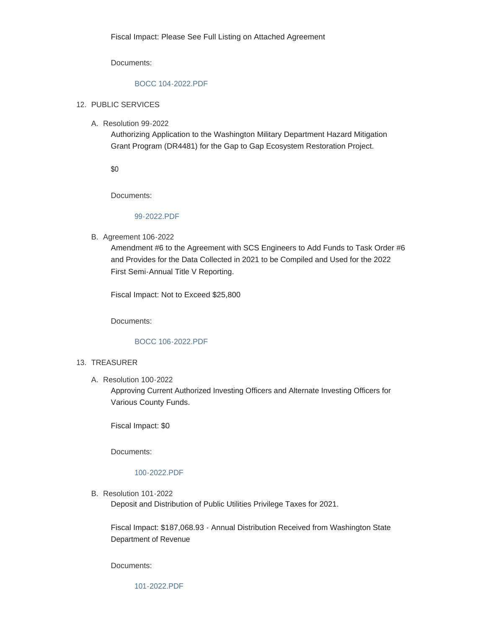Documents:

## [BOCC 104-2022.PDF](https://www.yakimacounty.us/AgendaCenter/ViewFile/Item/4096?fileID=16053)

# 12. PUBLIC SERVICES

A. Resolution 99-2022

Authorizing Application to the Washington Military Department Hazard Mitigation Grant Program (DR4481) for the Gap to Gap Ecosystem Restoration Project.

\$0

Documents:

#### [99-2022.PDF](https://www.yakimacounty.us/AgendaCenter/ViewFile/Item/4099?fileID=16056)

B. Agreement 106-2022

Amendment #6 to the Agreement with SCS Engineers to Add Funds to Task Order #6 and Provides for the Data Collected in 2021 to be Compiled and Used for the 2022 First Semi-Annual Title V Reporting.

Fiscal Impact: Not to Exceed \$25,800

Documents:

#### [BOCC 106-2022.PDF](https://www.yakimacounty.us/AgendaCenter/ViewFile/Item/4100?fileID=16057)

## 13. TREASURER

Resolution 100-2022 A.

Approving Current Authorized Investing Officers and Alternate Investing Officers for Various County Funds.

Fiscal Impact: \$0

Documents:

## [100-2022.PDF](https://www.yakimacounty.us/AgendaCenter/ViewFile/Item/4115?fileID=16059)

B. Resolution 101-2022

Deposit and Distribution of Public Utilities Privilege Taxes for 2021.

Fiscal Impact: \$187,068.93 - Annual Distribution Received from Washington State Department of Revenue

Documents: